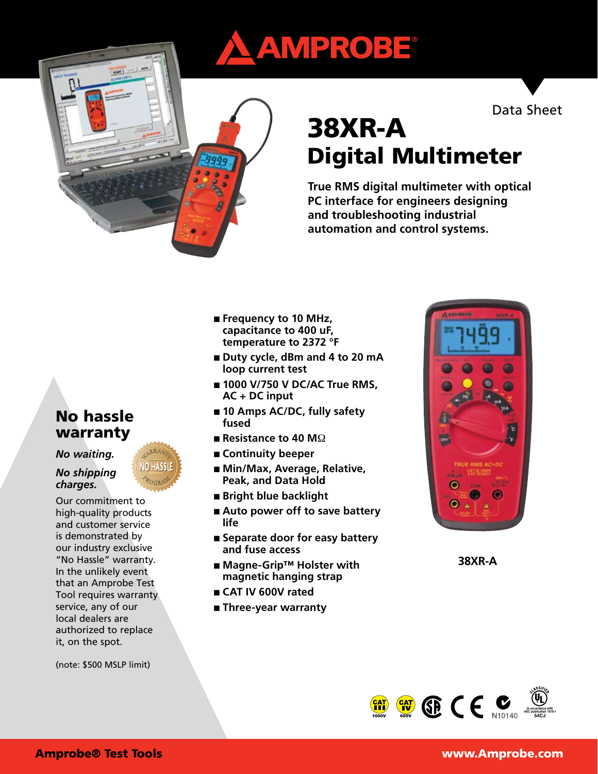# AMPROBE®

Data Sheet

# 38XR-A Digital Multimeter

**True RMS digital multimeter with optical PC interface for engineers designing and troubleshooting industrial automation and control systems.**

- **Frequency to 10 MHz**, **capacitance to 400 uF, temperature to 2372 °F**
- Duty cycle, dBm and 4 to 20 mA **loop current test**
- **1000 V/750 V DC/AC True RMS, AC + DC input**
- 10 Amps AC/DC, fully safety **fused**
- **Resistance to 40 M** $\Omega$
- **Continuity beeper**
- Min/Max, Average, Relative, **Peak, and Data Hold**
- **Bright blue backlight**
- Auto power off to save battery **life**
- Separate door for easy battery **and fuse access**
- **Magne-Grip™ Holster with magnetic hanging strap**
- **CAT IV 600V rated**
- **Three-year warranty**



**38XR-A**



# No hassle warranty

*No waiting.* 

## *No shipping charges.*

Our commitment to high-quality products and customer service is demonstrated by our industry exclusive "No Hassle" warranty. In the unlikely event that an Amprobe Test Tool requires warranty service, any of our local dealers are authorized to replace it, on the spot.

(note: \$500 MSLP limit)

# Amprobe® Test Tools www.Amprobe.com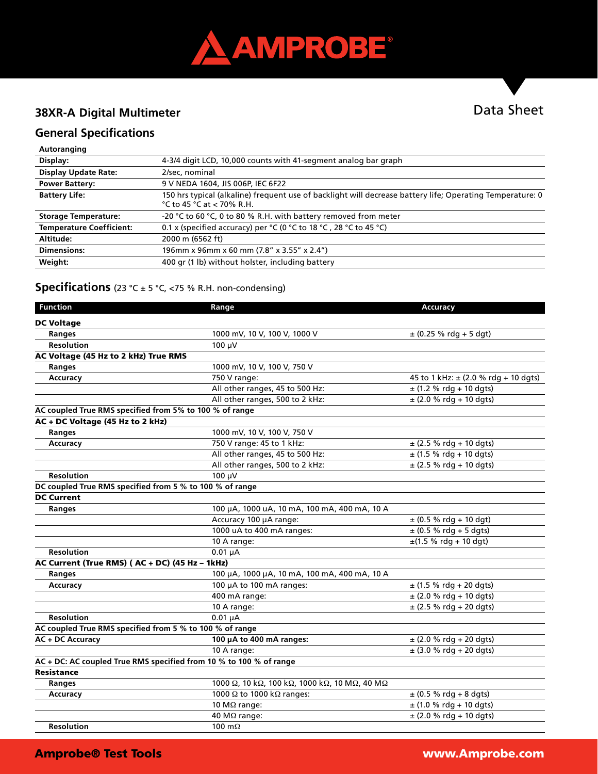

# **38XR-A Digital Multimeter**

# Data Sheet

# **General Specifications**

#### **Autoranging**

| Display:                        | 4-3/4 digit LCD, 10,000 counts with 41-segment analog bar graph                                                                            |
|---------------------------------|--------------------------------------------------------------------------------------------------------------------------------------------|
| <b>Display Update Rate:</b>     | 2/sec, nominal                                                                                                                             |
| <b>Power Battery:</b>           | 9 V NEDA 1604, JIS 006P, IEC 6F22                                                                                                          |
| <b>Battery Life:</b>            | 150 hrs typical (alkaline) frequent use of backlight will decrease battery life; Operating Temperature: 0<br>$°C$ to 45 $°C$ at < 70% R.H. |
| <b>Storage Temperature:</b>     | -20 °C to 60 °C, 0 to 80 % R.H. with battery removed from meter                                                                            |
| <b>Temperature Coefficient:</b> | 0.1 x (specified accuracy) per °C (0 °C to 18 °C, 28 °C to 45 °C)                                                                          |
| Altitude:                       | 2000 m (6562 ft)                                                                                                                           |
| <b>Dimensions:</b>              | 196mm x 96mm x 60 mm (7.8" x 3.55" x 2.4")                                                                                                 |
| Weight:                         | 400 gr (1 lb) without holster, including battery                                                                                           |

# **Specifications** (23 °C ± 5 °C, <75 % R.H. non-condensing)

| <b>Function</b>                                          | Range                                                              | <b>Accuracy</b>                          |
|----------------------------------------------------------|--------------------------------------------------------------------|------------------------------------------|
| <b>DC Voltage</b>                                        |                                                                    |                                          |
| <b>Ranges</b>                                            | 1000 mV, 10 V, 100 V, 1000 V                                       | $\pm$ (0.25 % rdg + 5 dgt)               |
| <b>Resolution</b>                                        | $100 \mu V$                                                        |                                          |
| AC Voltage (45 Hz to 2 kHz) True RMS                     |                                                                    |                                          |
| Ranges                                                   | 1000 mV, 10 V, 100 V, 750 V                                        |                                          |
| Accuracy                                                 | 750 V range:                                                       | 45 to 1 kHz: $\pm$ (2.0 % rdg + 10 dgts) |
|                                                          | All other ranges, 45 to 500 Hz:                                    | $±$ (1.2 % rdg + 10 dgts)                |
|                                                          | All other ranges, 500 to 2 kHz:                                    | $\pm$ (2.0 % rdg + 10 dgts)              |
| AC coupled True RMS specified from 5% to 100 % of range  |                                                                    |                                          |
| AC + DC Voltage (45 Hz to 2 kHz)                         |                                                                    |                                          |
| Ranges                                                   | 1000 mV, 10 V, 100 V, 750 V                                        |                                          |
| Accuracy                                                 | 750 V range: 45 to 1 kHz:                                          | $\pm$ (2.5 % rdg + 10 dgts)              |
|                                                          | All other ranges, 45 to 500 Hz:                                    | $\pm$ (1.5 % rdg + 10 dgts)              |
|                                                          | All other ranges, 500 to 2 kHz:                                    | $\pm$ (2.5 % rdg + 10 dgts)              |
| <b>Resolution</b>                                        | 100 µV                                                             |                                          |
| DC coupled True RMS specified from 5 % to 100 % of range |                                                                    |                                          |
| <b>DC Current</b>                                        |                                                                    |                                          |
| Ranges                                                   | 100 µA, 1000 uA, 10 mA, 100 mA, 400 mA, 10 A                       |                                          |
|                                                          | Accuracy 100 µA range:                                             | $\pm$ (0.5 % rdg + 10 dgt)               |
|                                                          | 1000 uA to 400 mA ranges:                                          | $\pm$ (0.5 % rdg + 5 dgts)               |
|                                                          | 10 A range:                                                        | $\pm$ (1.5 % rdg + 10 dgt)               |
| <b>Resolution</b>                                        | $0.01 \mu A$                                                       |                                          |
| AC Current (True RMS) (AC + DC) (45 Hz - 1kHz)           |                                                                    |                                          |
| Ranges                                                   | 100 μA, 1000 μA, 10 mA, 100 mA, 400 mA, 10 A                       |                                          |
| Accuracy                                                 | 100 µA to 100 mA ranges:                                           | $\pm$ (1.5 % rdg + 20 dgts)              |
|                                                          | 400 mA range:                                                      | $\pm$ (2.0 % rdg + 10 dgts)              |
|                                                          | 10 A range:                                                        | $\pm$ (2.5 % rdg + 20 dgts)              |
| <b>Resolution</b>                                        | $0.01 \mu A$                                                       |                                          |
| AC coupled True RMS specified from 5 % to 100 % of range |                                                                    |                                          |
| AC + DC Accuracy                                         | 100 µA to 400 mA ranges:                                           | $\pm$ (2.0 % rdg + 20 dgts)              |
|                                                          | 10 A range:                                                        | $±$ (3.0 % rdg + 20 dgts)                |
|                                                          | AC + DC: AC coupled True RMS specified from 10 % to 100 % of range |                                          |
| <b>Resistance</b>                                        |                                                                    |                                          |
| Ranges                                                   | 1000 Ω, 10 kΩ, 100 kΩ, 1000 kΩ, 10 MΩ, 40 MΩ                       |                                          |
| Accuracy                                                 | 1000 $\Omega$ to 1000 k $\Omega$ ranges:                           | $\pm$ (0.5 % rdg + 8 dgts)               |
|                                                          | 10 M $\Omega$ range:                                               | $\pm$ (1.0 % rdg + 10 dgts)              |
|                                                          | 40 MΩ range:                                                       | $\pm$ (2.0 % rdg + 10 dgts)              |
| <b>Resolution</b>                                        | 100 $m\Omega$                                                      |                                          |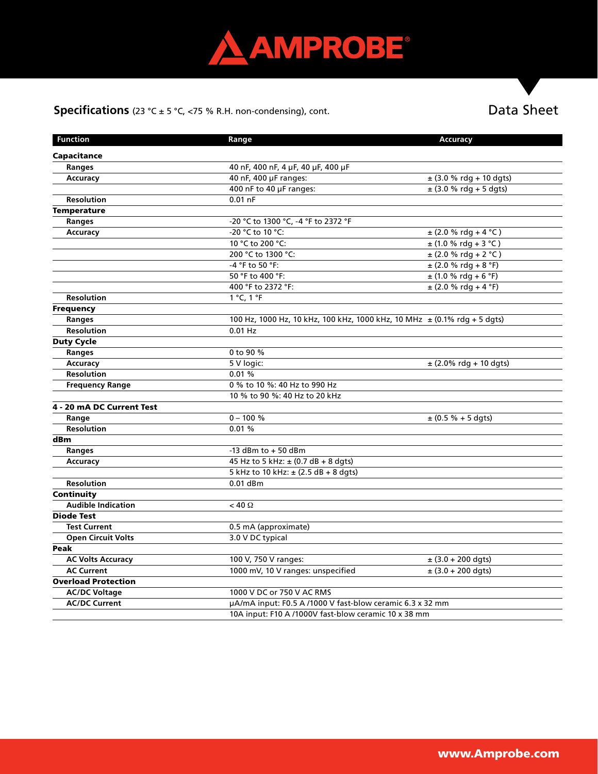

# **Specifications** (23 °C ± 5 °C, <75 % R.H. non-condensing), cont.

# Data Sheet

| <b>Function</b>            | Range                                                                        | <b>Accuracy</b>             |  |
|----------------------------|------------------------------------------------------------------------------|-----------------------------|--|
| Capacitance                |                                                                              |                             |  |
| Ranges                     | 40 nF, 400 nF, 4 µF, 40 µF, 400 µF                                           |                             |  |
| <b>Accuracy</b>            | 40 nF, 400 µF ranges:                                                        | $\pm$ (3.0 % rdg + 10 dgts) |  |
|                            | 400 nF to 40 µF ranges:                                                      | $\pm$ (3.0 % rdg + 5 dgts)  |  |
| <b>Resolution</b>          | $0.01$ nF                                                                    |                             |  |
| <b>Temperature</b>         |                                                                              |                             |  |
| Ranges                     | -20 °C to 1300 °C, -4 °F to 2372 °F                                          |                             |  |
| Accuracy                   | -20 °C to 10 °C:                                                             | $\pm$ (2.0 % rdg + 4 °C)    |  |
|                            | 10 °C to 200 °C:                                                             | $\pm$ (1.0 % rdg + 3 °C)    |  |
|                            | 200 °C to 1300 °C:                                                           | $\pm$ (2.0 % rdg + 2 °C)    |  |
|                            | -4 °F to 50 °F:                                                              | $\pm$ (2.0 % rdg + 8 °F)    |  |
|                            | 50 °F to 400 °F:                                                             | $\pm$ (1.0 % rdg + 6 °F)    |  |
|                            | 400 °F to 2372 °F:                                                           | $\pm$ (2.0 % rdg + 4 °F)    |  |
| <b>Resolution</b>          | 1 °C, 1 °F                                                                   |                             |  |
| <b>Frequency</b>           |                                                                              |                             |  |
| Ranges                     | 100 Hz, 1000 Hz, 10 kHz, 100 kHz, 1000 kHz, 10 MHz $\pm$ (0.1% rdg + 5 dgts) |                             |  |
| <b>Resolution</b>          | $0.01$ Hz                                                                    |                             |  |
| <b>Duty Cycle</b>          |                                                                              |                             |  |
| Ranges                     | 0 to 90 %                                                                    |                             |  |
| Accuracy                   | 5 V logic:                                                                   | ± (2.0% rdg + 10 dgts)      |  |
| <b>Resolution</b>          | 0.01%                                                                        |                             |  |
| <b>Frequency Range</b>     | 0 % to 10 %: 40 Hz to 990 Hz                                                 |                             |  |
|                            | 10 % to 90 %: 40 Hz to 20 kHz                                                |                             |  |
| 4 - 20 mA DC Current Test  |                                                                              |                             |  |
| Range                      | $0 - 100 \%$                                                                 | $\pm$ (0.5 % + 5 dgts)      |  |
| <b>Resolution</b>          | 0.01%                                                                        |                             |  |
| dBm                        |                                                                              |                             |  |
| Ranges                     | -13 dBm to $+50$ dBm                                                         |                             |  |
| Accuracy                   | 45 Hz to 5 kHz: $\pm$ (0.7 dB + 8 dgts)                                      |                             |  |
|                            | 5 kHz to 10 kHz: $\pm$ (2.5 dB + 8 dgts)                                     |                             |  |
| <b>Resolution</b>          | $0.01$ dBm                                                                   |                             |  |
| Continuity                 |                                                                              |                             |  |
| <b>Audible Indication</b>  | $< 40 \Omega$                                                                |                             |  |
| <b>Diode Test</b>          |                                                                              |                             |  |
| <b>Test Current</b>        | 0.5 mA (approximate)                                                         |                             |  |
| <b>Open Circuit Volts</b>  | 3.0 V DC typical                                                             |                             |  |
| Peak                       |                                                                              |                             |  |
| <b>AC Volts Accuracy</b>   | 100 V, 750 V ranges:                                                         | $\pm$ (3.0 + 200 dgts)      |  |
| <b>AC Current</b>          | 1000 mV, 10 V ranges: unspecified                                            | $\pm$ (3.0 + 200 dgts)      |  |
| <b>Overload Protection</b> |                                                                              |                             |  |
| <b>AC/DC Voltage</b>       | 1000 V DC or 750 V AC RMS                                                    |                             |  |
| <b>AC/DC Current</b>       | µA/mA input: F0.5 A /1000 V fast-blow ceramic 6.3 x 32 mm                    |                             |  |
|                            | 10A input: F10 A /1000V fast-blow ceramic 10 x 38 mm                         |                             |  |